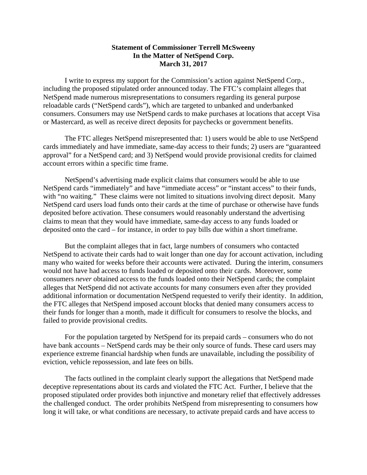## **Statement of Commissioner Terrell McSweeny In the Matter of NetSpend Corp. March 31, 2017**

I write to express my support for the Commission's action against NetSpend Corp., including the proposed stipulated order announced today. The FTC's complaint alleges that NetSpend made numerous misrepresentations to consumers regarding its general purpose reloadable cards ("NetSpend cards"), which are targeted to unbanked and underbanked consumers. Consumers may use NetSpend cards to make purchases at locations that accept Visa or Mastercard, as well as receive direct deposits for paychecks or government benefits.

The FTC alleges NetSpend misrepresented that: 1) users would be able to use NetSpend cards immediately and have immediate, same-day access to their funds; 2) users are "guaranteed approval" for a NetSpend card; and 3) NetSpend would provide provisional credits for claimed account errors within a specific time frame.

NetSpend's advertising made explicit claims that consumers would be able to use NetSpend cards "immediately" and have "immediate access" or "instant access" to their funds, with "no waiting." These claims were not limited to situations involving direct deposit. Many NetSpend card users load funds onto their cards at the time of purchase or otherwise have funds deposited before activation. These consumers would reasonably understand the advertising claims to mean that they would have immediate, same-day access to any funds loaded or deposited onto the card – for instance, in order to pay bills due within a short timeframe.

 failed to provide provisional credits. But the complaint alleges that in fact, large numbers of consumers who contacted NetSpend to activate their cards had to wait longer than one day for account activation, including many who waited for weeks before their accounts were activated. During the interim, consumers would not have had access to funds loaded or deposited onto their cards. Moreover, some consumers *never* obtained access to the funds loaded onto their NetSpend cards; the complaint alleges that NetSpend did not activate accounts for many consumers even after they provided additional information or documentation NetSpend requested to verify their identity. In addition, the FTC alleges that NetSpend imposed account blocks that denied many consumers access to their funds for longer than a month, made it difficult for consumers to resolve the blocks, and

For the population targeted by NetSpend for its prepaid cards – consumers who do not have bank accounts – NetSpend cards may be their only source of funds. These card users may experience extreme financial hardship when funds are unavailable, including the possibility of eviction, vehicle repossession, and late fees on bills.

The facts outlined in the complaint clearly support the allegations that NetSpend made deceptive representations about its cards and violated the FTC Act. Further, I believe that the proposed stipulated order provides both injunctive and monetary relief that effectively addresses the challenged conduct. The order prohibits NetSpend from misrepresenting to consumers how long it will take, or what conditions are necessary, to activate prepaid cards and have access to